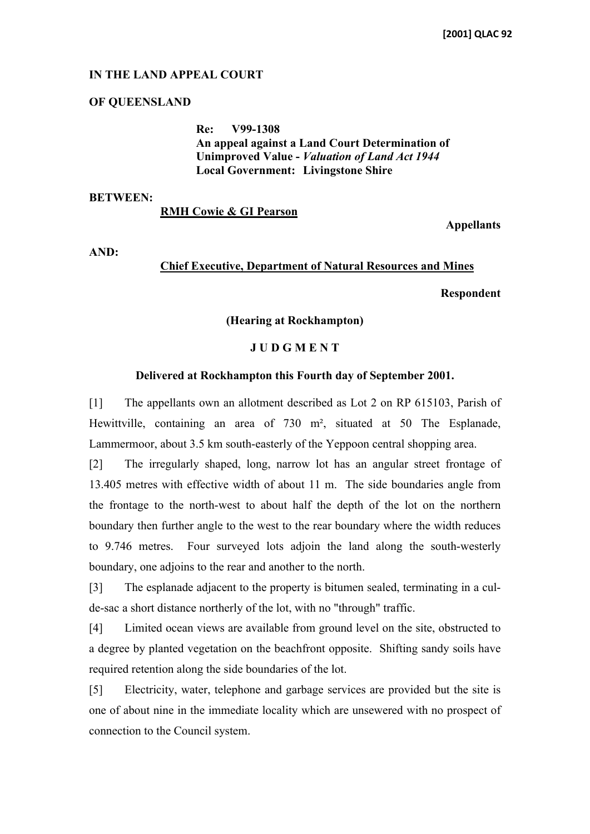### **IN THE LAND APPEAL COURT**

### **OF QUEENSLAND**

**Re: V99-1308 An appeal against a Land Court Determination of Unimproved Value -** *Valuation of Land Act 1944* **Local Government: Livingstone Shire**

#### **BETWEEN:**

#### **RMH Cowie & GI Pearson**

**Appellants**

**AND:**

## **Chief Executive, Department of Natural Resources and Mines**

**Respondent**

#### **(Hearing at Rockhampton)**

### **J U D G M E N T**

#### **Delivered at Rockhampton this Fourth day of September 2001.**

[1] The appellants own an allotment described as Lot 2 on RP 615103, Parish of Hewittville, containing an area of 730 m², situated at 50 The Esplanade, Lammermoor, about 3.5 km south-easterly of the Yeppoon central shopping area.

[2] The irregularly shaped, long, narrow lot has an angular street frontage of 13.405 metres with effective width of about 11 m. The side boundaries angle from the frontage to the north-west to about half the depth of the lot on the northern boundary then further angle to the west to the rear boundary where the width reduces to 9.746 metres. Four surveyed lots adjoin the land along the south-westerly boundary, one adjoins to the rear and another to the north.

[3] The esplanade adjacent to the property is bitumen sealed, terminating in a culde-sac a short distance northerly of the lot, with no "through" traffic.

[4] Limited ocean views are available from ground level on the site, obstructed to a degree by planted vegetation on the beachfront opposite. Shifting sandy soils have required retention along the side boundaries of the lot.

[5] Electricity, water, telephone and garbage services are provided but the site is one of about nine in the immediate locality which are unsewered with no prospect of connection to the Council system.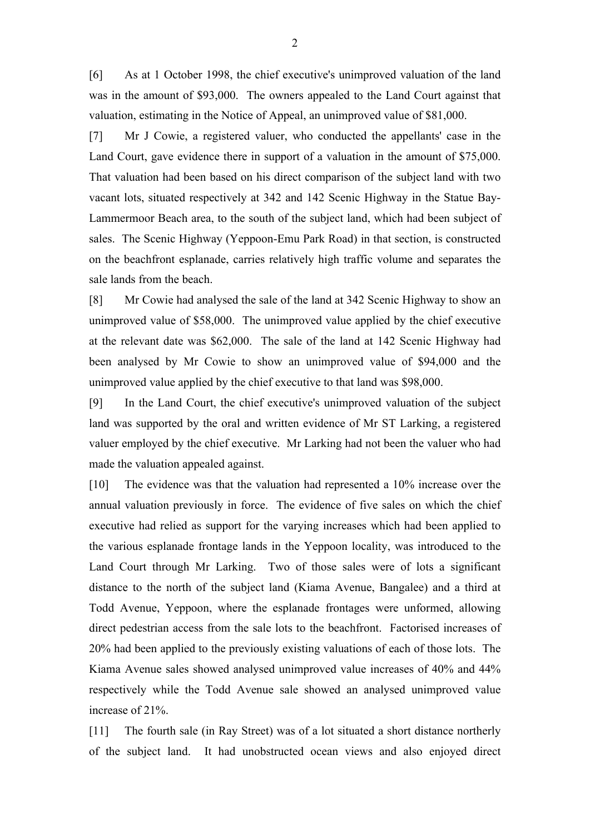[6] As at 1 October 1998, the chief executive's unimproved valuation of the land was in the amount of \$93,000. The owners appealed to the Land Court against that valuation, estimating in the Notice of Appeal, an unimproved value of \$81,000.

[7] Mr J Cowie, a registered valuer, who conducted the appellants' case in the Land Court, gave evidence there in support of a valuation in the amount of \$75,000. That valuation had been based on his direct comparison of the subject land with two vacant lots, situated respectively at 342 and 142 Scenic Highway in the Statue Bay-Lammermoor Beach area, to the south of the subject land, which had been subject of sales. The Scenic Highway (Yeppoon-Emu Park Road) in that section, is constructed on the beachfront esplanade, carries relatively high traffic volume and separates the sale lands from the beach.

[8] Mr Cowie had analysed the sale of the land at 342 Scenic Highway to show an unimproved value of \$58,000. The unimproved value applied by the chief executive at the relevant date was \$62,000. The sale of the land at 142 Scenic Highway had been analysed by Mr Cowie to show an unimproved value of \$94,000 and the unimproved value applied by the chief executive to that land was \$98,000.

[9] In the Land Court, the chief executive's unimproved valuation of the subject land was supported by the oral and written evidence of Mr ST Larking, a registered valuer employed by the chief executive. Mr Larking had not been the valuer who had made the valuation appealed against.

[10] The evidence was that the valuation had represented a 10% increase over the annual valuation previously in force. The evidence of five sales on which the chief executive had relied as support for the varying increases which had been applied to the various esplanade frontage lands in the Yeppoon locality, was introduced to the Land Court through Mr Larking. Two of those sales were of lots a significant distance to the north of the subject land (Kiama Avenue, Bangalee) and a third at Todd Avenue, Yeppoon, where the esplanade frontages were unformed, allowing direct pedestrian access from the sale lots to the beachfront. Factorised increases of 20% had been applied to the previously existing valuations of each of those lots. The Kiama Avenue sales showed analysed unimproved value increases of 40% and 44% respectively while the Todd Avenue sale showed an analysed unimproved value increase of 21%.

[11] The fourth sale (in Ray Street) was of a lot situated a short distance northerly of the subject land. It had unobstructed ocean views and also enjoyed direct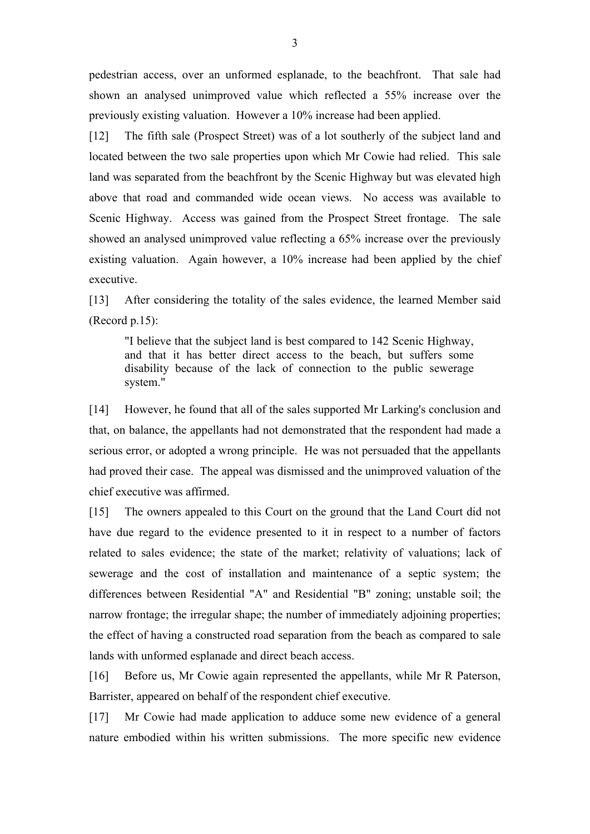pedestrian access, over an unformed esplanade, to the beachfront. That sale had shown an analysed unimproved value which reflected a 55% increase over the previously existing valuation. However a 10% increase had been applied.

[12] The fifth sale (Prospect Street) was of a lot southerly of the subject land and located between the two sale properties upon which Mr Cowie had relied. This sale land was separated from the beachfront by the Scenic Highway but was elevated high above that road and commanded wide ocean views. No access was available to Scenic Highway. Access was gained from the Prospect Street frontage. The sale showed an analysed unimproved value reflecting a 65% increase over the previously existing valuation. Again however, a 10% increase had been applied by the chief executive.

[13] After considering the totality of the sales evidence, the learned Member said (Record p.15):

"I believe that the subject land is best compared to 142 Scenic Highway, and that it has better direct access to the beach, but suffers some disability because of the lack of connection to the public sewerage system."

[14] However, he found that all of the sales supported Mr Larking's conclusion and that, on balance, the appellants had not demonstrated that the respondent had made a serious error, or adopted a wrong principle. He was not persuaded that the appellants had proved their case. The appeal was dismissed and the unimproved valuation of the chief executive was affirmed.

[15] The owners appealed to this Court on the ground that the Land Court did not have due regard to the evidence presented to it in respect to a number of factors related to sales evidence; the state of the market; relativity of valuations; lack of sewerage and the cost of installation and maintenance of a septic system; the differences between Residential "A" and Residential "B" zoning; unstable soil; the narrow frontage; the irregular shape; the number of immediately adjoining properties; the effect of having a constructed road separation from the beach as compared to sale lands with unformed esplanade and direct beach access.

[16] Before us, Mr Cowie again represented the appellants, while Mr R Paterson, Barrister, appeared on behalf of the respondent chief executive.

[17] Mr Cowie had made application to adduce some new evidence of a general nature embodied within his written submissions. The more specific new evidence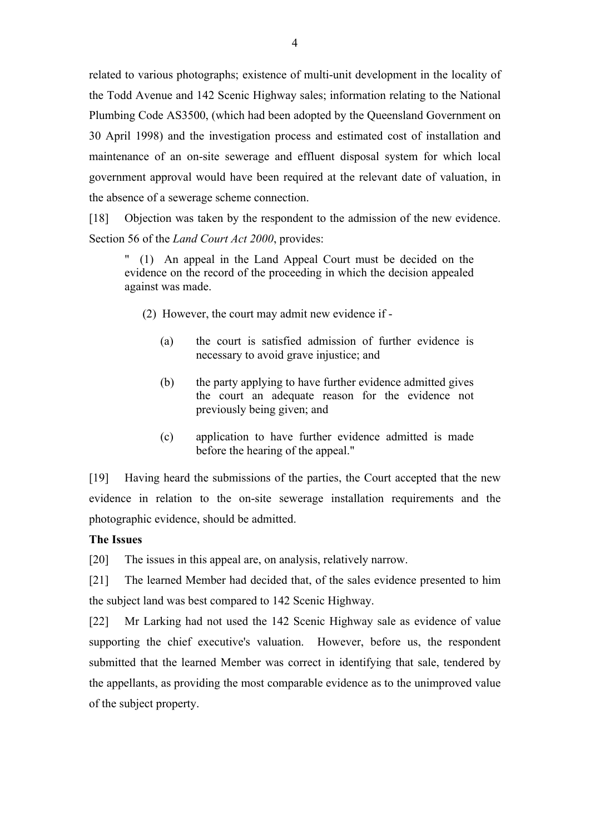related to various photographs; existence of multi-unit development in the locality of the Todd Avenue and 142 Scenic Highway sales; information relating to the National Plumbing Code AS3500, (which had been adopted by the Queensland Government on 30 April 1998) and the investigation process and estimated cost of installation and maintenance of an on-site sewerage and effluent disposal system for which local government approval would have been required at the relevant date of valuation, in the absence of a sewerage scheme connection.

[18] Objection was taken by the respondent to the admission of the new evidence. Section 56 of the *Land Court Act 2000*, provides:

" (1) An appeal in the Land Appeal Court must be decided on the evidence on the record of the proceeding in which the decision appealed against was made.

(2) However, the court may admit new evidence if -

- (a) the court is satisfied admission of further evidence is necessary to avoid grave injustice; and
- (b) the party applying to have further evidence admitted gives the court an adequate reason for the evidence not previously being given; and
- (c) application to have further evidence admitted is made before the hearing of the appeal."

[19] Having heard the submissions of the parties, the Court accepted that the new evidence in relation to the on-site sewerage installation requirements and the photographic evidence, should be admitted.

# **The Issues**

[20] The issues in this appeal are, on analysis, relatively narrow.

[21] The learned Member had decided that, of the sales evidence presented to him the subject land was best compared to 142 Scenic Highway.

[22] Mr Larking had not used the 142 Scenic Highway sale as evidence of value supporting the chief executive's valuation. However, before us, the respondent submitted that the learned Member was correct in identifying that sale, tendered by the appellants, as providing the most comparable evidence as to the unimproved value of the subject property.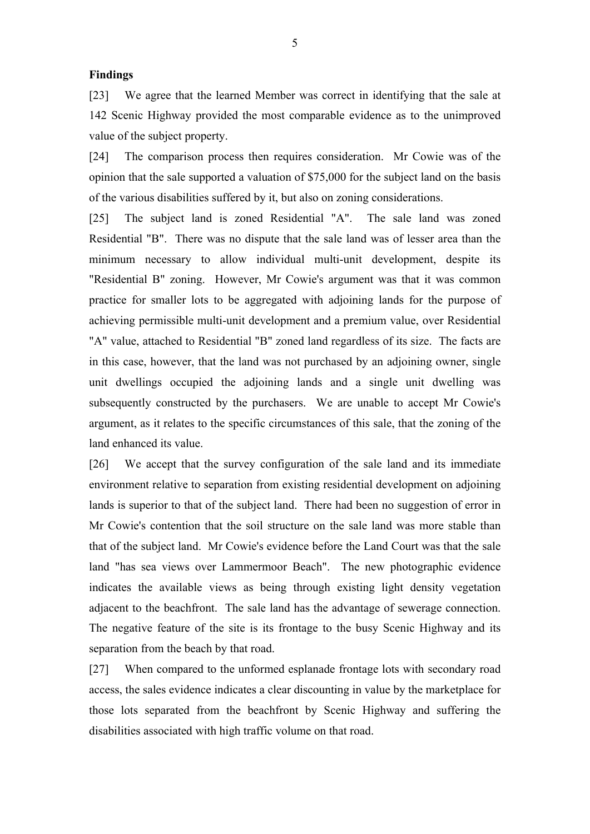## **Findings**

[23] We agree that the learned Member was correct in identifying that the sale at 142 Scenic Highway provided the most comparable evidence as to the unimproved value of the subject property.

[24] The comparison process then requires consideration. Mr Cowie was of the opinion that the sale supported a valuation of \$75,000 for the subject land on the basis of the various disabilities suffered by it, but also on zoning considerations.

[25] The subject land is zoned Residential "A". The sale land was zoned Residential "B". There was no dispute that the sale land was of lesser area than the minimum necessary to allow individual multi-unit development, despite its "Residential B" zoning. However, Mr Cowie's argument was that it was common practice for smaller lots to be aggregated with adjoining lands for the purpose of achieving permissible multi-unit development and a premium value, over Residential "A" value, attached to Residential "B" zoned land regardless of its size. The facts are in this case, however, that the land was not purchased by an adjoining owner, single unit dwellings occupied the adjoining lands and a single unit dwelling was subsequently constructed by the purchasers. We are unable to accept Mr Cowie's argument, as it relates to the specific circumstances of this sale, that the zoning of the land enhanced its value.

[26] We accept that the survey configuration of the sale land and its immediate environment relative to separation from existing residential development on adjoining lands is superior to that of the subject land. There had been no suggestion of error in Mr Cowie's contention that the soil structure on the sale land was more stable than that of the subject land. Mr Cowie's evidence before the Land Court was that the sale land "has sea views over Lammermoor Beach". The new photographic evidence indicates the available views as being through existing light density vegetation adjacent to the beachfront. The sale land has the advantage of sewerage connection. The negative feature of the site is its frontage to the busy Scenic Highway and its separation from the beach by that road.

[27] When compared to the unformed esplanade frontage lots with secondary road access, the sales evidence indicates a clear discounting in value by the marketplace for those lots separated from the beachfront by Scenic Highway and suffering the disabilities associated with high traffic volume on that road.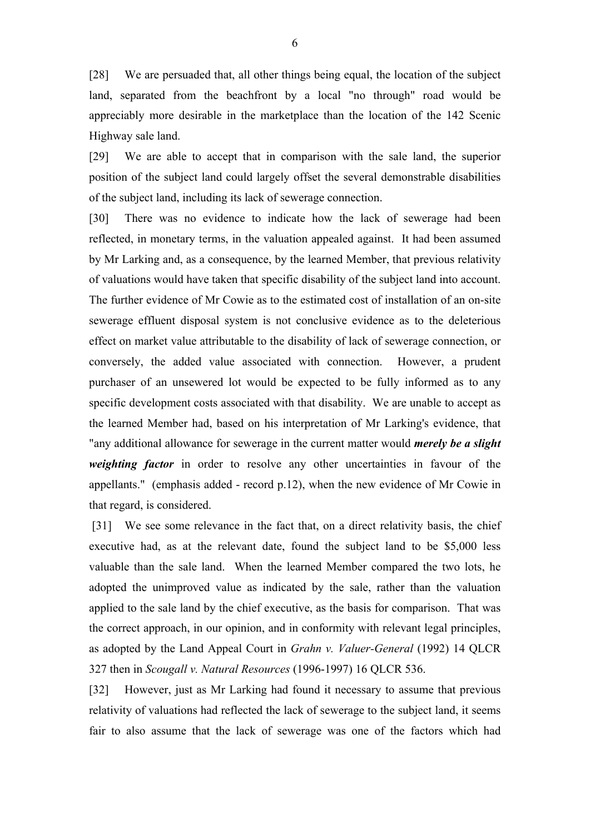[28] We are persuaded that, all other things being equal, the location of the subject land, separated from the beachfront by a local "no through" road would be appreciably more desirable in the marketplace than the location of the 142 Scenic Highway sale land.

[29] We are able to accept that in comparison with the sale land, the superior position of the subject land could largely offset the several demonstrable disabilities of the subject land, including its lack of sewerage connection.

[30] There was no evidence to indicate how the lack of sewerage had been reflected, in monetary terms, in the valuation appealed against. It had been assumed by Mr Larking and, as a consequence, by the learned Member, that previous relativity of valuations would have taken that specific disability of the subject land into account. The further evidence of Mr Cowie as to the estimated cost of installation of an on-site sewerage effluent disposal system is not conclusive evidence as to the deleterious effect on market value attributable to the disability of lack of sewerage connection, or conversely, the added value associated with connection. However, a prudent purchaser of an unsewered lot would be expected to be fully informed as to any specific development costs associated with that disability. We are unable to accept as the learned Member had, based on his interpretation of Mr Larking's evidence, that "any additional allowance for sewerage in the current matter would *merely be a slight weighting factor* in order to resolve any other uncertainties in favour of the appellants." (emphasis added - record p.12), when the new evidence of Mr Cowie in that regard, is considered.

 [31] We see some relevance in the fact that, on a direct relativity basis, the chief executive had, as at the relevant date, found the subject land to be \$5,000 less valuable than the sale land. When the learned Member compared the two lots, he adopted the unimproved value as indicated by the sale, rather than the valuation applied to the sale land by the chief executive, as the basis for comparison. That was the correct approach, in our opinion, and in conformity with relevant legal principles, as adopted by the Land Appeal Court in *Grahn v. Valuer-General* (1992) 14 QLCR 327 then in *Scougall v. Natural Resources* (1996-1997) 16 QLCR 536.

[32] However, just as Mr Larking had found it necessary to assume that previous relativity of valuations had reflected the lack of sewerage to the subject land, it seems fair to also assume that the lack of sewerage was one of the factors which had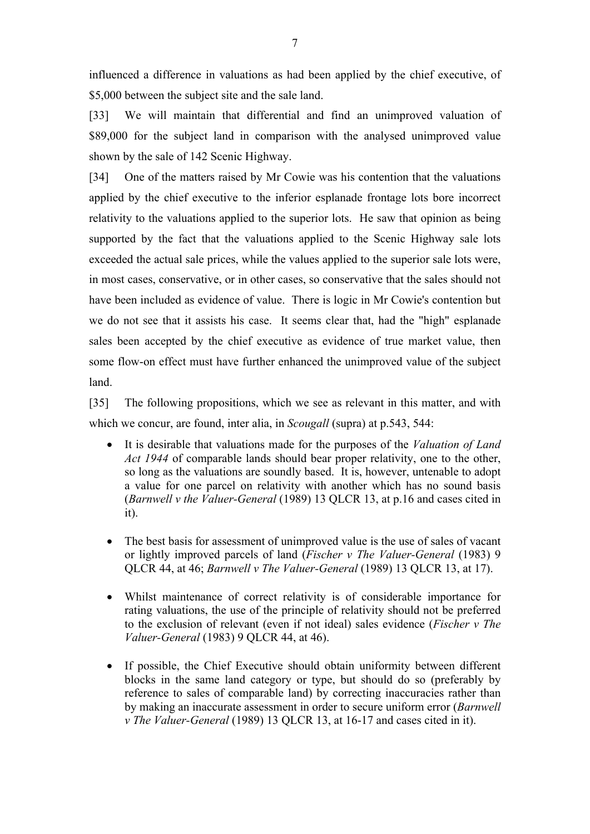influenced a difference in valuations as had been applied by the chief executive, of \$5,000 between the subject site and the sale land.

[33] We will maintain that differential and find an unimproved valuation of \$89,000 for the subject land in comparison with the analysed unimproved value shown by the sale of 142 Scenic Highway.

[34] One of the matters raised by Mr Cowie was his contention that the valuations applied by the chief executive to the inferior esplanade frontage lots bore incorrect relativity to the valuations applied to the superior lots. He saw that opinion as being supported by the fact that the valuations applied to the Scenic Highway sale lots exceeded the actual sale prices, while the values applied to the superior sale lots were, in most cases, conservative, or in other cases, so conservative that the sales should not have been included as evidence of value. There is logic in Mr Cowie's contention but we do not see that it assists his case. It seems clear that, had the "high" esplanade sales been accepted by the chief executive as evidence of true market value, then some flow-on effect must have further enhanced the unimproved value of the subject land.

[35] The following propositions, which we see as relevant in this matter, and with which we concur, are found, inter alia, in *Scougall* (supra) at p.543, 544:

- It is desirable that valuations made for the purposes of the *Valuation of Land Act 1944* of comparable lands should bear proper relativity, one to the other, so long as the valuations are soundly based. It is, however, untenable to adopt a value for one parcel on relativity with another which has no sound basis (*Barnwell v the Valuer-General* (1989) 13 QLCR 13, at p.16 and cases cited in it).
- The best basis for assessment of unimproved value is the use of sales of vacant or lightly improved parcels of land (*Fischer v The Valuer-General* (1983) 9 QLCR 44, at 46; *Barnwell v The Valuer-General* (1989) 13 QLCR 13, at 17).
- Whilst maintenance of correct relativity is of considerable importance for rating valuations, the use of the principle of relativity should not be preferred to the exclusion of relevant (even if not ideal) sales evidence (*Fischer v The Valuer-General* (1983) 9 QLCR 44, at 46).
- If possible, the Chief Executive should obtain uniformity between different blocks in the same land category or type, but should do so (preferably by reference to sales of comparable land) by correcting inaccuracies rather than by making an inaccurate assessment in order to secure uniform error (*Barnwell v The Valuer-General* (1989) 13 QLCR 13, at 16-17 and cases cited in it).